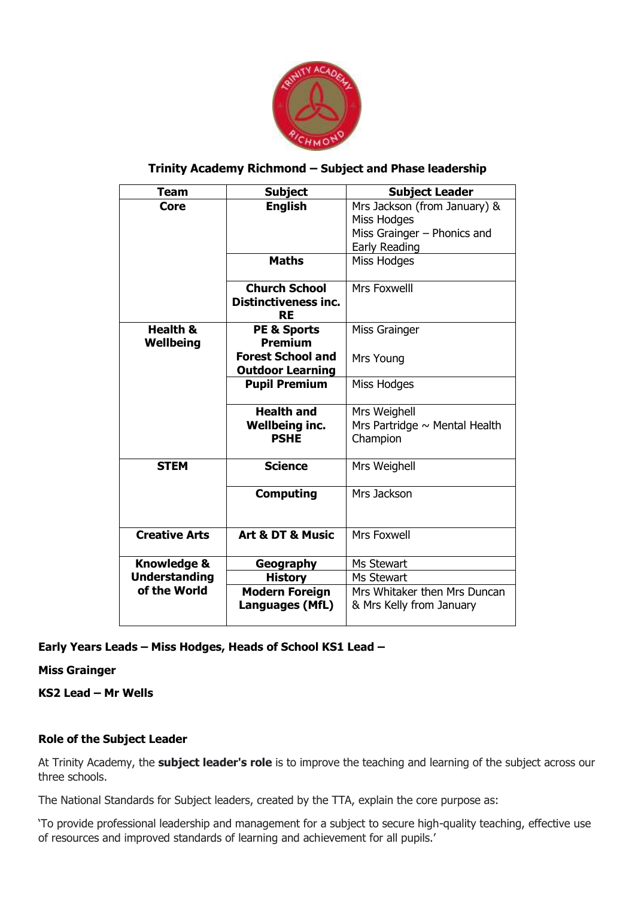

## **Trinity Academy Richmond – Subject and Phase leadership**

| Team                   | <b>Subject</b>                           | <b>Subject Leader</b>              |
|------------------------|------------------------------------------|------------------------------------|
| <b>Core</b>            | <b>English</b>                           | Mrs Jackson (from January) &       |
|                        |                                          | Miss Hodges                        |
|                        |                                          | Miss Grainger - Phonics and        |
|                        |                                          | Early Reading                      |
|                        | <b>Maths</b>                             | Miss Hodges                        |
|                        | <b>Church School</b>                     | Mrs Foxwelll                       |
|                        | <b>Distinctiveness inc.</b><br><b>RE</b> |                                    |
| <b>Health &amp;</b>    | <b>PE &amp; Sports</b>                   | <b>Miss Grainger</b>               |
| Wellbeing              | <b>Premium</b>                           |                                    |
|                        | <b>Forest School and</b>                 | Mrs Young                          |
|                        | <b>Outdoor Learning</b>                  |                                    |
|                        | <b>Pupil Premium</b>                     | Miss Hodges                        |
|                        | <b>Health and</b>                        | Mrs Weighell                       |
|                        | <b>Wellbeing inc.</b>                    | Mrs Partridge $\sim$ Mental Health |
|                        | <b>PSHE</b>                              | Champion                           |
| <b>STEM</b>            | <b>Science</b>                           | Mrs Weighell                       |
|                        | <b>Computing</b>                         | Mrs Jackson                        |
| <b>Creative Arts</b>   | Art & DT & Music                         | <b>Mrs Foxwell</b>                 |
| <b>Knowledge &amp;</b> | Geography                                | Ms Stewart                         |
| <b>Understanding</b>   | <b>History</b>                           | Ms Stewart                         |
| of the World           | <b>Modern Foreign</b>                    | Mrs Whitaker then Mrs Duncan       |
|                        | Languages (MfL)                          | & Mrs Kelly from January           |
|                        |                                          |                                    |

## **Early Years Leads – Miss Hodges, Heads of School KS1 Lead –**

**Miss Grainger** 

**KS2 Lead – Mr Wells** 

## **Role of the Subject Leader**

At Trinity Academy, the **subject leader's role** is to improve the teaching and learning of the subject across our three schools.

The National Standards for Subject leaders, created by the TTA, explain the core purpose as:

'To provide professional leadership and management for a subject to secure high-quality teaching, effective use of resources and improved standards of learning and achievement for all pupils.'